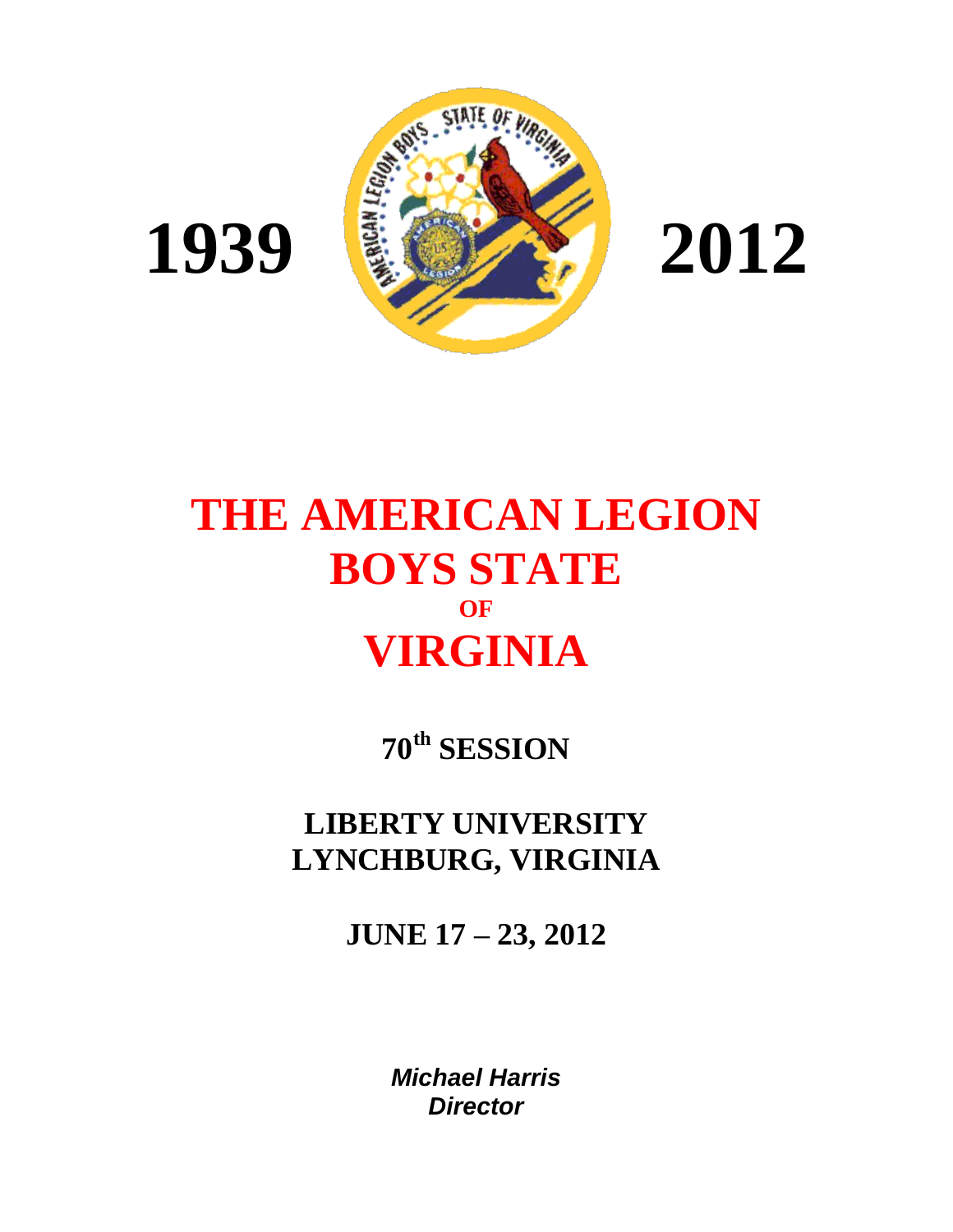

**1939**



# **THE AMERICAN LEGION BOYS STATE OF VIRGINIA**

**70th SESSION**

**LIBERTY UNIVERSITY LYNCHBURG, VIRGINIA**

**JUNE 17 – 23, 2012**

*Michael Harris Director*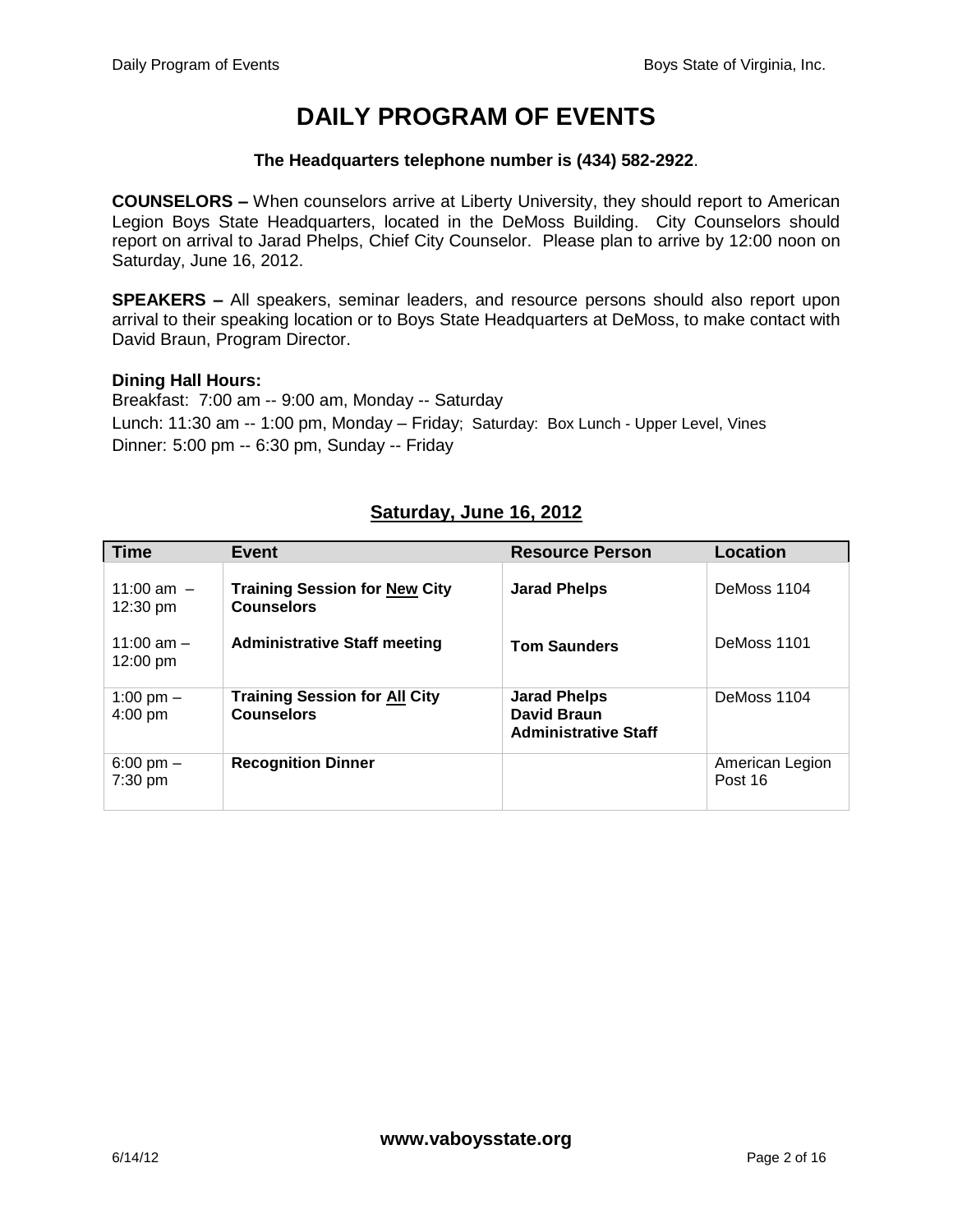# **DAILY PROGRAM OF EVENTS**

#### **The Headquarters telephone number is (434) 582-2922**.

**COUNSELORS –** When counselors arrive at Liberty University, they should report to American Legion Boys State Headquarters, located in the DeMoss Building. City Counselors should report on arrival to Jarad Phelps, Chief City Counselor. Please plan to arrive by 12:00 noon on Saturday, June 16, 2012.

**SPEAKERS –** All speakers, seminar leaders, and resource persons should also report upon arrival to their speaking location or to Boys State Headquarters at DeMoss, to make contact with David Braun, Program Director.

#### **Dining Hall Hours:**

Breakfast: 7:00 am -- 9:00 am, Monday -- Saturday Lunch: 11:30 am -- 1:00 pm, Monday – Friday; Saturday: Box Lunch - Upper Level, Vines Dinner: 5:00 pm -- 6:30 pm, Sunday -- Friday

#### **Saturday, June 16, 2012**

| <b>Time</b>                        | Event                                                     | <b>Resource Person</b>                                                   | Location                   |
|------------------------------------|-----------------------------------------------------------|--------------------------------------------------------------------------|----------------------------|
| 11:00 am $-$<br>$12:30 \text{ pm}$ | <b>Training Session for New City</b><br><b>Counselors</b> | <b>Jarad Phelps</b>                                                      | DeMoss 1104                |
| 11:00 am $-$<br>$12:00 \text{ pm}$ | <b>Administrative Staff meeting</b>                       | <b>Tom Saunders</b>                                                      | DeMoss 1101                |
| 1:00 pm $-$<br>$4:00$ pm           | <b>Training Session for All City</b><br><b>Counselors</b> | <b>Jarad Phelps</b><br><b>David Braun</b><br><b>Administrative Staff</b> | DeMoss 1104                |
| 6:00 pm $-$<br>$7:30$ pm           | <b>Recognition Dinner</b>                                 |                                                                          | American Legion<br>Post 16 |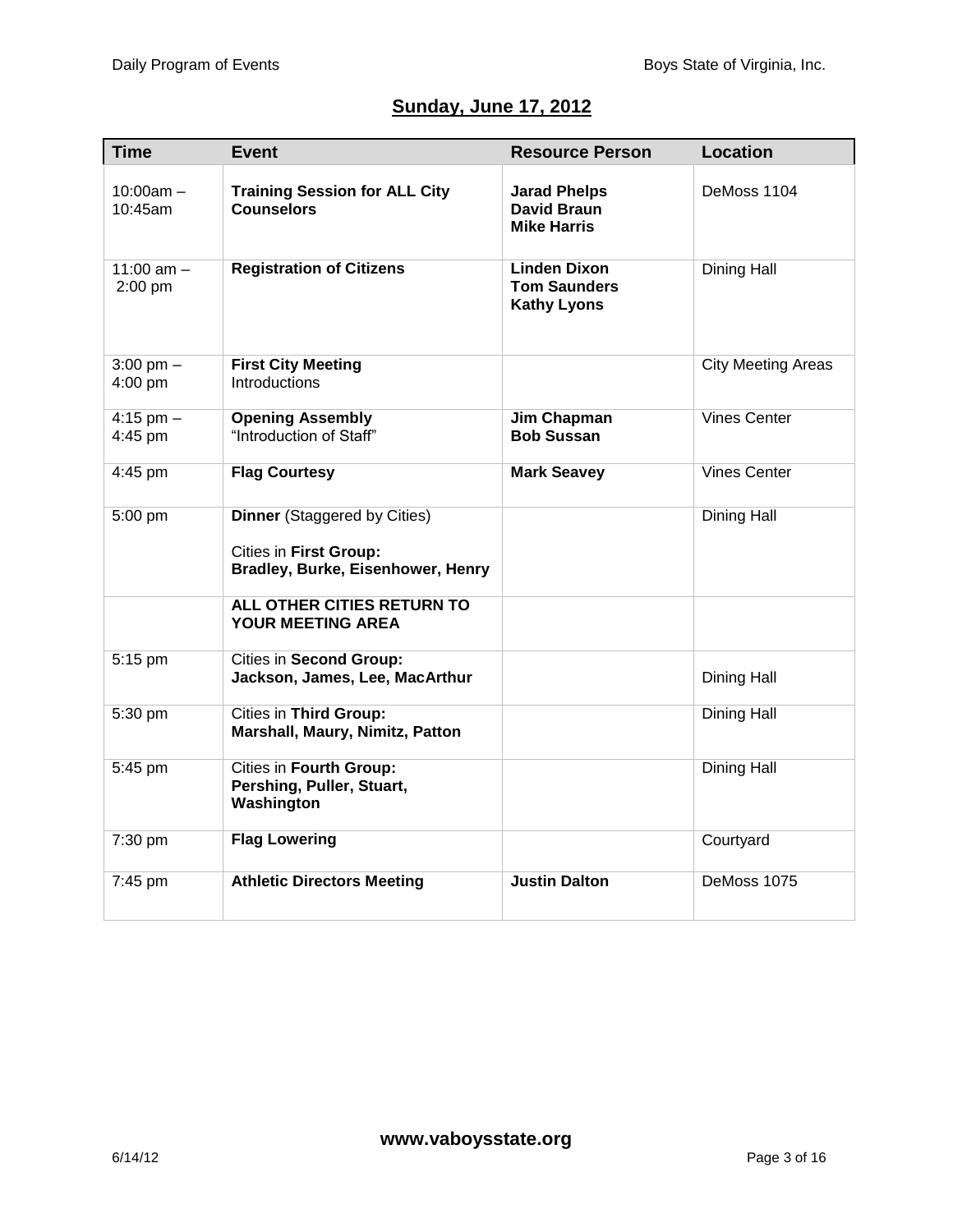## **Sunday, June 17, 2012**

| <b>Time</b>                    | <b>Event</b>                                                                                       | <b>Resource Person</b>                                           | <b>Location</b>           |
|--------------------------------|----------------------------------------------------------------------------------------------------|------------------------------------------------------------------|---------------------------|
| $10:00$ am $-$<br>$10:45$ am   | <b>Training Session for ALL City</b><br><b>Counselors</b>                                          | <b>Jarad Phelps</b><br><b>David Braun</b><br><b>Mike Harris</b>  | DeMoss 1104               |
| 11:00 am $-$<br>2:00 pm        | <b>Registration of Citizens</b>                                                                    | <b>Linden Dixon</b><br><b>Tom Saunders</b><br><b>Kathy Lyons</b> | Dining Hall               |
| $3:00 \text{ pm} -$<br>4:00 pm | <b>First City Meeting</b><br>Introductions                                                         |                                                                  | <b>City Meeting Areas</b> |
| $4:15$ pm $-$<br>4:45 pm       | <b>Opening Assembly</b><br>"Introduction of Staff"                                                 | Jim Chapman<br><b>Bob Sussan</b>                                 | <b>Vines Center</b>       |
| 4:45 pm                        | <b>Flag Courtesy</b>                                                                               | <b>Mark Seavey</b>                                               | <b>Vines Center</b>       |
| 5:00 pm                        | <b>Dinner</b> (Staggered by Cities)<br>Cities in First Group:<br>Bradley, Burke, Eisenhower, Henry |                                                                  | Dining Hall               |
|                                | ALL OTHER CITIES RETURN TO<br><b>YOUR MEETING AREA</b>                                             |                                                                  |                           |
| 5:15 pm                        | <b>Cities in Second Group:</b><br>Jackson, James, Lee, MacArthur                                   |                                                                  | Dining Hall               |
| 5:30 pm                        | <b>Cities in Third Group:</b><br>Marshall, Maury, Nimitz, Patton                                   |                                                                  | Dining Hall               |
| 5:45 pm                        | Cities in Fourth Group:<br>Pershing, Puller, Stuart,<br>Washington                                 |                                                                  | Dining Hall               |
| 7:30 pm                        | <b>Flag Lowering</b>                                                                               |                                                                  | Courtyard                 |
| 7:45 pm                        | <b>Athletic Directors Meeting</b>                                                                  | <b>Justin Dalton</b>                                             | DeMoss 1075               |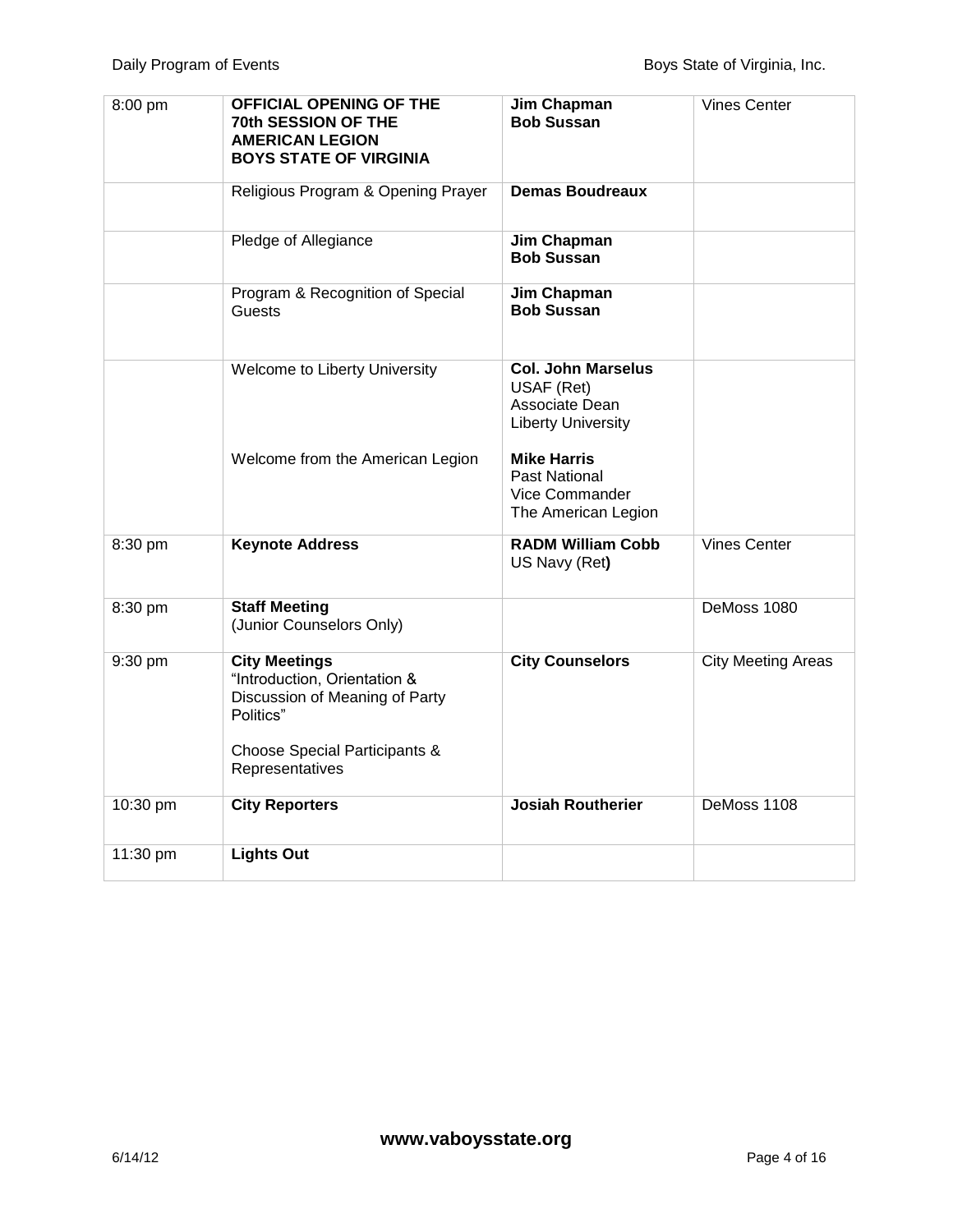| 8:00 pm  | <b>OFFICIAL OPENING OF THE</b><br>70th SESSION OF THE<br><b>AMERICAN LEGION</b><br><b>BOYS STATE OF VIRGINIA</b>                                        | Jim Chapman<br><b>Bob Sussan</b>                                                       | <b>Vines Center</b>       |
|----------|---------------------------------------------------------------------------------------------------------------------------------------------------------|----------------------------------------------------------------------------------------|---------------------------|
|          | Religious Program & Opening Prayer                                                                                                                      | <b>Demas Boudreaux</b>                                                                 |                           |
|          | Pledge of Allegiance                                                                                                                                    | Jim Chapman<br><b>Bob Sussan</b>                                                       |                           |
|          | Program & Recognition of Special<br>Guests                                                                                                              | Jim Chapman<br><b>Bob Sussan</b>                                                       |                           |
|          | <b>Welcome to Liberty University</b>                                                                                                                    | <b>Col. John Marselus</b><br>USAF (Ret)<br>Associate Dean<br><b>Liberty University</b> |                           |
|          | Welcome from the American Legion                                                                                                                        | <b>Mike Harris</b><br>Past National<br>Vice Commander<br>The American Legion           |                           |
| 8:30 pm  | <b>Keynote Address</b>                                                                                                                                  | <b>RADM William Cobb</b><br>US Navy (Ret)                                              | <b>Vines Center</b>       |
| 8:30 pm  | <b>Staff Meeting</b><br>(Junior Counselors Only)                                                                                                        |                                                                                        | DeMoss 1080               |
| 9:30 pm  | <b>City Meetings</b><br>"Introduction, Orientation &<br>Discussion of Meaning of Party<br>Politics"<br>Choose Special Participants &<br>Representatives | <b>City Counselors</b>                                                                 | <b>City Meeting Areas</b> |
| 10:30 pm | <b>City Reporters</b>                                                                                                                                   | <b>Josiah Routherier</b>                                                               | DeMoss 1108               |
| 11:30 pm | <b>Lights Out</b>                                                                                                                                       |                                                                                        |                           |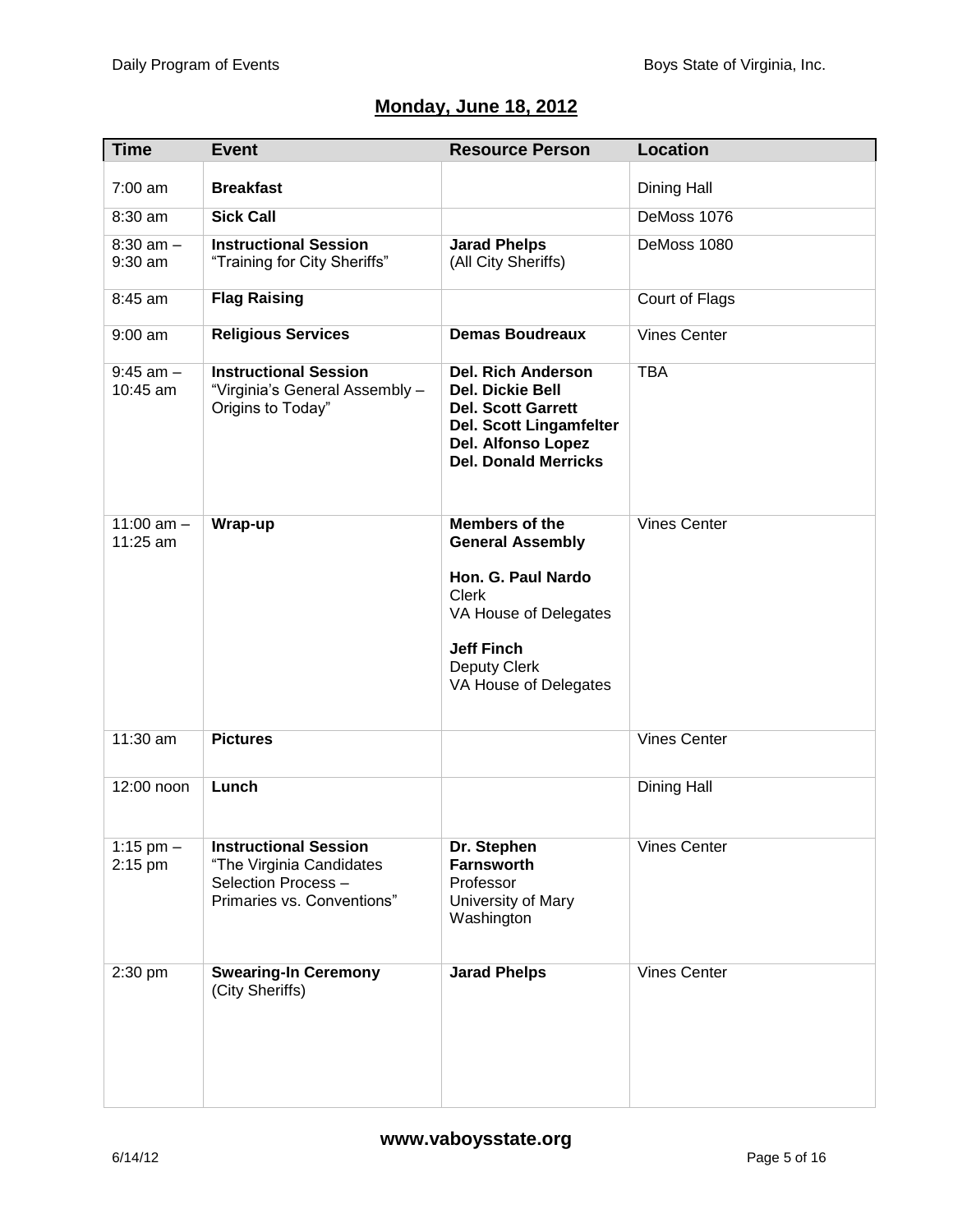### **Monday, June 18, 2012**

| Time                      | <b>Event</b>                                                                                                  | <b>Resource Person</b>                                                                                                                                                          | <b>Location</b>     |
|---------------------------|---------------------------------------------------------------------------------------------------------------|---------------------------------------------------------------------------------------------------------------------------------------------------------------------------------|---------------------|
| 7:00 am                   | <b>Breakfast</b>                                                                                              |                                                                                                                                                                                 | Dining Hall         |
| 8:30 am                   | <b>Sick Call</b>                                                                                              |                                                                                                                                                                                 | DeMoss 1076         |
| $8:30$ am $-$<br>9:30 am  | <b>Instructional Session</b><br>"Training for City Sheriffs"                                                  | <b>Jarad Phelps</b><br>(All City Sheriffs)                                                                                                                                      | DeMoss 1080         |
| 8:45 am                   | <b>Flag Raising</b>                                                                                           |                                                                                                                                                                                 | Court of Flags      |
| $9:00$ am                 | <b>Religious Services</b>                                                                                     | <b>Demas Boudreaux</b>                                                                                                                                                          | <b>Vines Center</b> |
| $9:45$ am $-$<br>10:45 am | <b>Instructional Session</b><br>"Virginia's General Assembly -<br>Origins to Today"                           | <b>Del. Rich Anderson</b><br><b>Del. Dickie Bell</b><br><b>Del. Scott Garrett</b><br><b>Del. Scott Lingamfelter</b><br><b>Del. Alfonso Lopez</b><br><b>Del. Donald Merricks</b> | <b>TBA</b>          |
| 11:00 $am -$<br>11:25 am  | Wrap-up                                                                                                       | <b>Members of the</b><br><b>General Assembly</b><br>Hon. G. Paul Nardo<br><b>Clerk</b><br>VA House of Delegates<br><b>Jeff Finch</b><br>Deputy Clerk<br>VA House of Delegates   | <b>Vines Center</b> |
|                           |                                                                                                               |                                                                                                                                                                                 |                     |
| $11:30$ am                | <b>Pictures</b>                                                                                               |                                                                                                                                                                                 | <b>Vines Center</b> |
| 12:00 noon                | Lunch                                                                                                         |                                                                                                                                                                                 | <b>Dining Hall</b>  |
| 1:15 pm $-$<br>2:15 pm    | <b>Instructional Session</b><br>"The Virginia Candidates<br>Selection Process -<br>Primaries vs. Conventions" | Dr. Stephen<br><b>Farnsworth</b><br>Professor<br>University of Mary<br>Washington                                                                                               | <b>Vines Center</b> |
| 2:30 pm                   | <b>Swearing-In Ceremony</b><br>(City Sheriffs)                                                                | <b>Jarad Phelps</b>                                                                                                                                                             | <b>Vines Center</b> |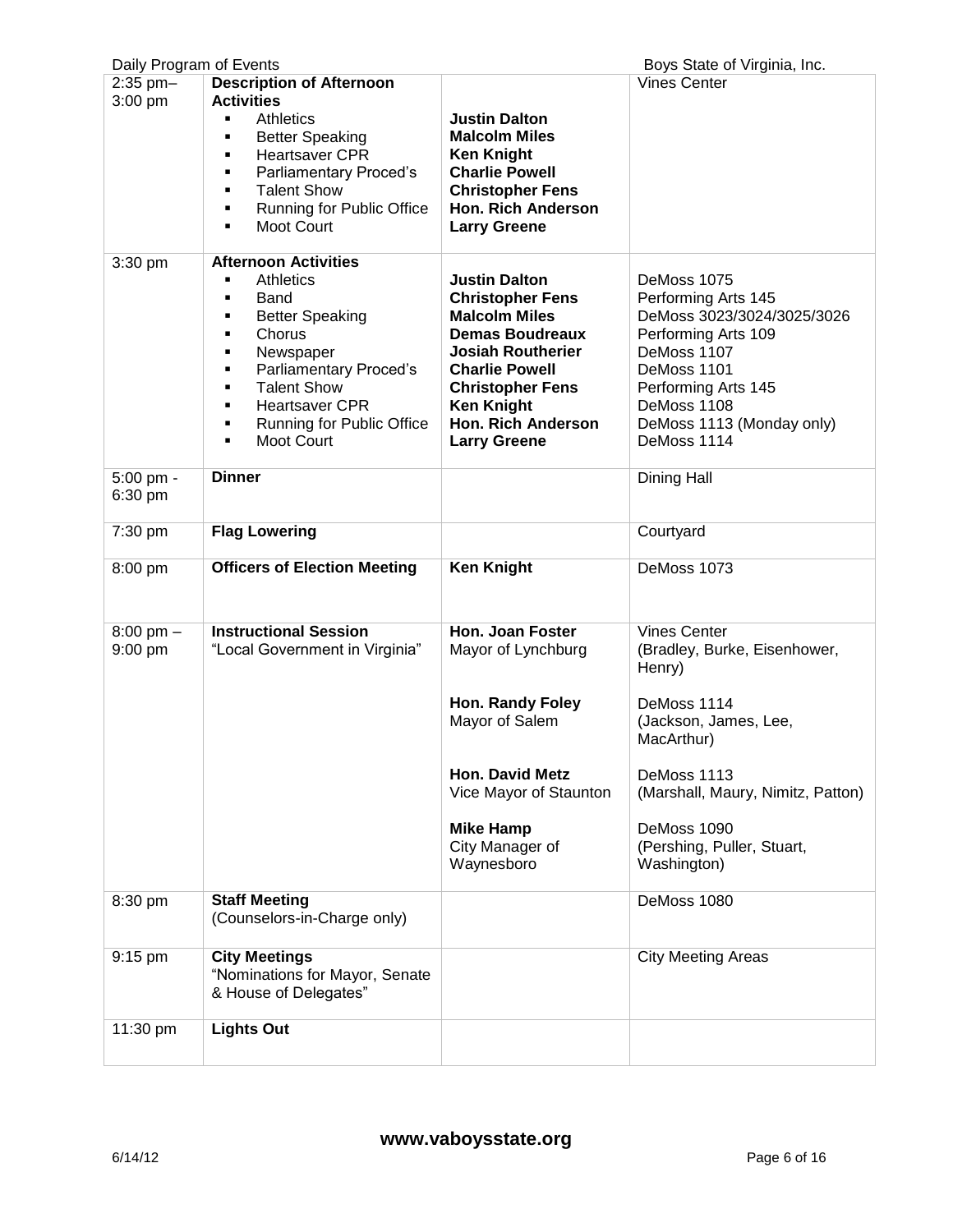| Daily Program of Events        |                                                                                                                                                                                                                                                                                              |                                                                                                                                                                                                                                                            | Boys State of Virginia, Inc.                                                                                                                                                                                                        |
|--------------------------------|----------------------------------------------------------------------------------------------------------------------------------------------------------------------------------------------------------------------------------------------------------------------------------------------|------------------------------------------------------------------------------------------------------------------------------------------------------------------------------------------------------------------------------------------------------------|-------------------------------------------------------------------------------------------------------------------------------------------------------------------------------------------------------------------------------------|
| $2:35$ pm $-$<br>$3:00$ pm     | <b>Description of Afternoon</b><br><b>Activities</b><br><b>Athletics</b><br><b>Better Speaking</b><br>Ξ<br><b>Heartsaver CPR</b><br>٠<br>Parliamentary Proced's<br>Ξ<br><b>Talent Show</b><br>٠<br><b>Running for Public Office</b><br>٠<br>Moot Court<br>٠                                  | <b>Justin Dalton</b><br><b>Malcolm Miles</b><br><b>Ken Knight</b><br><b>Charlie Powell</b><br><b>Christopher Fens</b><br><b>Hon. Rich Anderson</b><br><b>Larry Greene</b>                                                                                  | <b>Vines Center</b>                                                                                                                                                                                                                 |
| 3:30 pm                        | <b>Afternoon Activities</b><br><b>Athletics</b><br>Ξ<br>Band<br>٠<br><b>Better Speaking</b><br>٠<br>Chorus<br>٠<br>Newspaper<br>٠<br>Parliamentary Proced's<br>٠<br><b>Talent Show</b><br>٠<br><b>Heartsaver CPR</b><br>٠<br><b>Running for Public Office</b><br>٠<br><b>Moot Court</b><br>٠ | <b>Justin Dalton</b><br><b>Christopher Fens</b><br><b>Malcolm Miles</b><br><b>Demas Boudreaux</b><br><b>Josiah Routherier</b><br><b>Charlie Powell</b><br><b>Christopher Fens</b><br><b>Ken Knight</b><br><b>Hon. Rich Anderson</b><br><b>Larry Greene</b> | DeMoss 1075<br>Performing Arts 145<br>DeMoss 3023/3024/3025/3026<br>Performing Arts 109<br>DeMoss 1107<br>DeMoss 1101<br>Performing Arts 145<br>DeMoss 1108<br>DeMoss 1113 (Monday only)<br>DeMoss 1114                             |
| $5:00$ pm -<br>6:30 pm         | <b>Dinner</b>                                                                                                                                                                                                                                                                                |                                                                                                                                                                                                                                                            | Dining Hall                                                                                                                                                                                                                         |
| 7:30 pm                        | <b>Flag Lowering</b>                                                                                                                                                                                                                                                                         |                                                                                                                                                                                                                                                            | Courtyard                                                                                                                                                                                                                           |
| 8:00 pm                        | <b>Officers of Election Meeting</b>                                                                                                                                                                                                                                                          | <b>Ken Knight</b>                                                                                                                                                                                                                                          | DeMoss 1073                                                                                                                                                                                                                         |
| $8:00 \text{ pm} -$<br>9:00 pm | <b>Instructional Session</b><br>"Local Government in Virginia"                                                                                                                                                                                                                               | <b>Hon. Joan Foster</b><br>Mayor of Lynchburg<br>Hon. Randy Foley<br>Mayor of Salem<br><b>Hon. David Metz</b><br>Vice Mayor of Staunton<br><b>Mike Hamp</b><br>City Manager of<br>Waynesboro                                                               | <b>Vines Center</b><br>(Bradley, Burke, Eisenhower,<br>Henry)<br>DeMoss 1114<br>(Jackson, James, Lee,<br>MacArthur)<br>DeMoss 1113<br>(Marshall, Maury, Nimitz, Patton)<br>DeMoss 1090<br>(Pershing, Puller, Stuart,<br>Washington) |
| 8:30 pm<br>9:15 pm             | <b>Staff Meeting</b><br>(Counselors-in-Charge only)<br><b>City Meetings</b><br>"Nominations for Mayor, Senate<br>& House of Delegates"                                                                                                                                                       |                                                                                                                                                                                                                                                            | DeMoss 1080<br><b>City Meeting Areas</b>                                                                                                                                                                                            |
| 11:30 pm                       | <b>Lights Out</b>                                                                                                                                                                                                                                                                            |                                                                                                                                                                                                                                                            |                                                                                                                                                                                                                                     |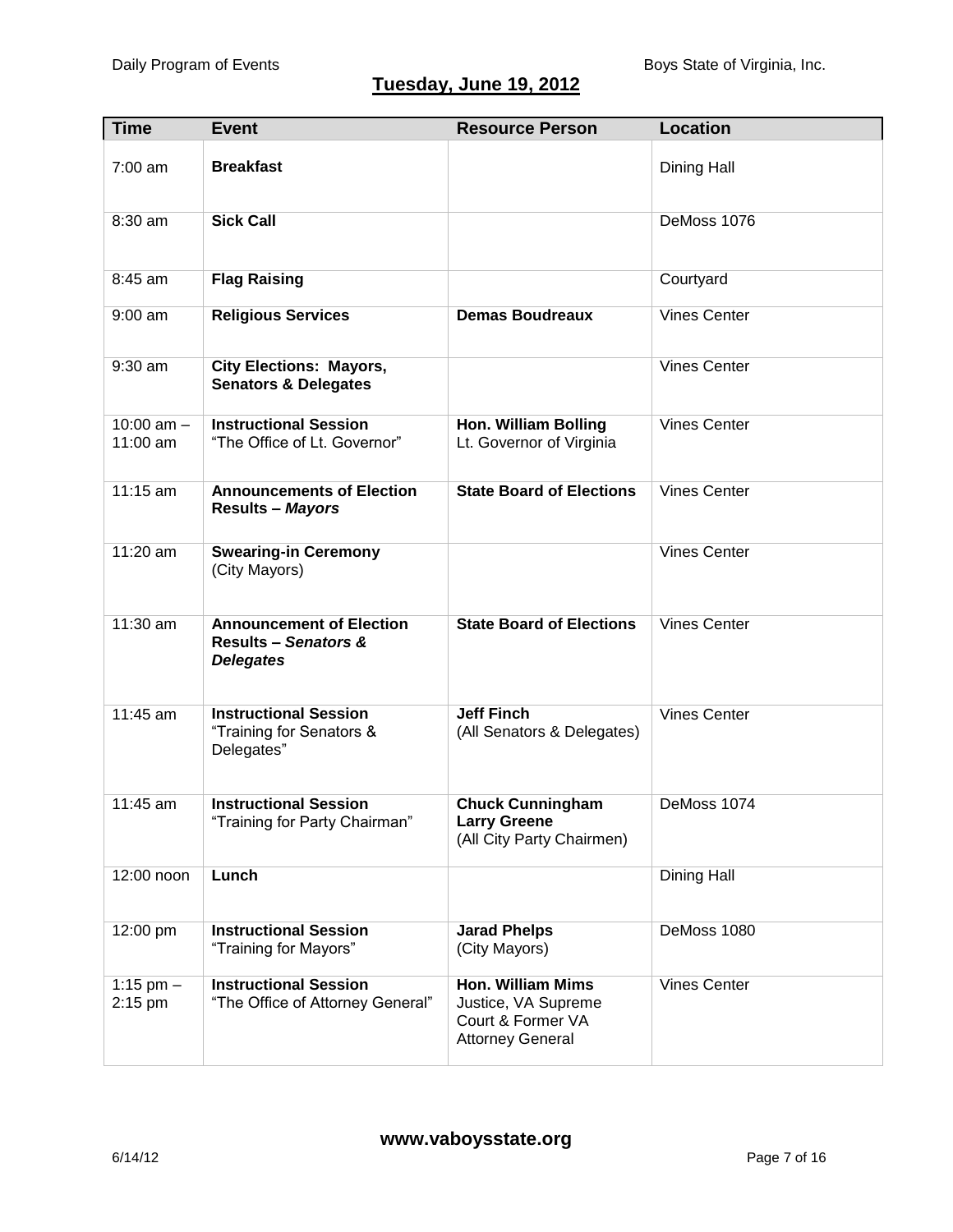# **Tuesday, June 19, 2012**

| <b>Time</b>              | <b>Event</b>                                                                           | <b>Resource Person</b>                                                                          | <b>Location</b>     |
|--------------------------|----------------------------------------------------------------------------------------|-------------------------------------------------------------------------------------------------|---------------------|
| $7:00$ am                | <b>Breakfast</b>                                                                       |                                                                                                 | Dining Hall         |
| 8:30 am                  | <b>Sick Call</b>                                                                       |                                                                                                 | DeMoss 1076         |
| 8:45 am                  | <b>Flag Raising</b>                                                                    |                                                                                                 | Courtyard           |
| $9:00$ am                | <b>Religious Services</b>                                                              | <b>Demas Boudreaux</b>                                                                          | <b>Vines Center</b> |
| $9:30$ am                | <b>City Elections: Mayors,</b><br><b>Senators &amp; Delegates</b>                      |                                                                                                 | <b>Vines Center</b> |
| 10:00 $am -$<br>11:00 am | <b>Instructional Session</b><br>"The Office of Lt. Governor"                           | <b>Hon. William Bolling</b><br>Lt. Governor of Virginia                                         | <b>Vines Center</b> |
| 11:15 am                 | <b>Announcements of Election</b><br>Results - Mayors                                   | <b>State Board of Elections</b>                                                                 | <b>Vines Center</b> |
| 11:20 am                 | <b>Swearing-in Ceremony</b><br>(City Mayors)                                           |                                                                                                 | <b>Vines Center</b> |
| 11:30 am                 | <b>Announcement of Election</b><br><b>Results - Senators &amp;</b><br><b>Delegates</b> | <b>State Board of Elections</b>                                                                 | <b>Vines Center</b> |
| 11:45 am                 | <b>Instructional Session</b><br>"Training for Senators &<br>Delegates"                 | <b>Jeff Finch</b><br>(All Senators & Delegates)                                                 | <b>Vines Center</b> |
| 11:45 am                 | <b>Instructional Session</b><br>"Training for Party Chairman"                          | <b>Chuck Cunningham</b><br><b>Larry Greene</b><br>(All City Party Chairmen)                     | DeMoss 1074         |
| 12:00 noon               | Lunch                                                                                  |                                                                                                 | Dining Hall         |
| 12:00 pm                 | <b>Instructional Session</b><br>"Training for Mayors"                                  | <b>Jarad Phelps</b><br>(City Mayors)                                                            | DeMoss 1080         |
| 1:15 pm $-$<br>2:15 pm   | <b>Instructional Session</b><br>"The Office of Attorney General"                       | <b>Hon. William Mims</b><br>Justice, VA Supreme<br>Court & Former VA<br><b>Attorney General</b> | <b>Vines Center</b> |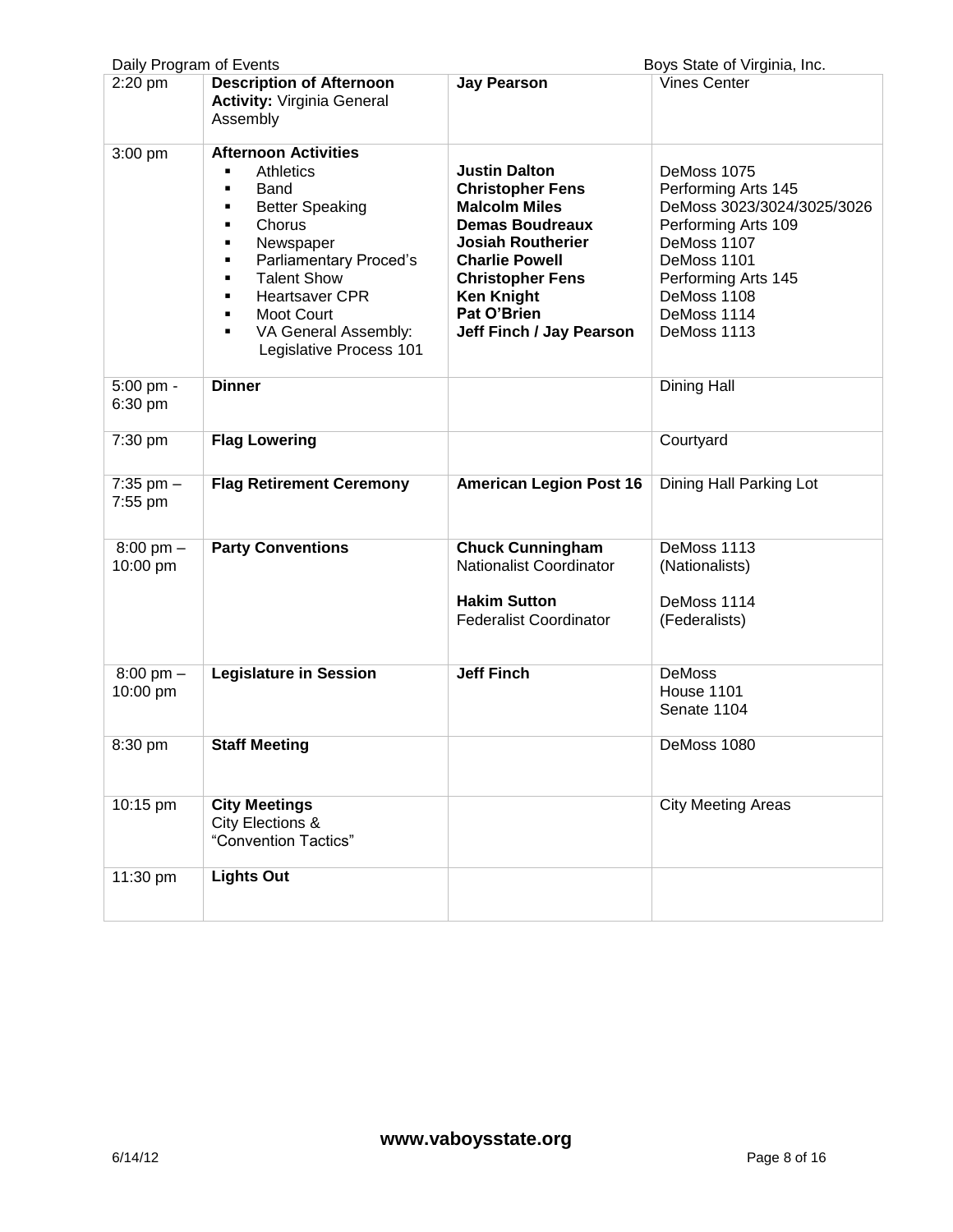| Daily Program of Events<br>Boys State of Virginia, Inc. |                                                                                                                                                                                                                                                                                                                   |                                                                                                                                                                                                                                                   |                                                                                                                                                                                           |
|---------------------------------------------------------|-------------------------------------------------------------------------------------------------------------------------------------------------------------------------------------------------------------------------------------------------------------------------------------------------------------------|---------------------------------------------------------------------------------------------------------------------------------------------------------------------------------------------------------------------------------------------------|-------------------------------------------------------------------------------------------------------------------------------------------------------------------------------------------|
| 2:20 pm                                                 | <b>Description of Afternoon</b><br><b>Activity: Virginia General</b><br>Assembly                                                                                                                                                                                                                                  | <b>Jay Pearson</b>                                                                                                                                                                                                                                | <b>Vines Center</b>                                                                                                                                                                       |
| $3:00$ pm                                               | <b>Afternoon Activities</b><br><b>Athletics</b><br>٠<br>Band<br>٠<br><b>Better Speaking</b><br>٠<br>Chorus<br>٠<br>Newspaper<br>٠<br>Parliamentary Proced's<br>$\blacksquare$<br><b>Talent Show</b><br>٠<br><b>Heartsaver CPR</b><br>٠<br>Moot Court<br>٠<br>VA General Assembly:<br>٠<br>Legislative Process 101 | <b>Justin Dalton</b><br><b>Christopher Fens</b><br><b>Malcolm Miles</b><br><b>Demas Boudreaux</b><br><b>Josiah Routherier</b><br><b>Charlie Powell</b><br><b>Christopher Fens</b><br><b>Ken Knight</b><br>Pat O'Brien<br>Jeff Finch / Jay Pearson | DeMoss 1075<br>Performing Arts 145<br>DeMoss 3023/3024/3025/3026<br>Performing Arts 109<br>DeMoss 1107<br>DeMoss 1101<br>Performing Arts 145<br>DeMoss 1108<br>DeMoss 1114<br>DeMoss 1113 |
| 5:00 pm -<br>6:30 pm                                    | <b>Dinner</b>                                                                                                                                                                                                                                                                                                     |                                                                                                                                                                                                                                                   | Dining Hall                                                                                                                                                                               |
| 7:30 pm                                                 | <b>Flag Lowering</b>                                                                                                                                                                                                                                                                                              |                                                                                                                                                                                                                                                   | Courtyard                                                                                                                                                                                 |
| $7:35$ pm $-$<br>7:55 pm                                | <b>Flag Retirement Ceremony</b>                                                                                                                                                                                                                                                                                   | <b>American Legion Post 16</b>                                                                                                                                                                                                                    | Dining Hall Parking Lot                                                                                                                                                                   |
| $8:00 \text{ pm} -$<br>10:00 pm                         | <b>Party Conventions</b>                                                                                                                                                                                                                                                                                          | <b>Chuck Cunningham</b><br>Nationalist Coordinator<br><b>Hakim Sutton</b><br><b>Federalist Coordinator</b>                                                                                                                                        | DeMoss 1113<br>(Nationalists)<br>DeMoss 1114<br>(Federalists)                                                                                                                             |
| $8:00 \text{ pm} -$<br>10:00 pm                         | <b>Legislature in Session</b>                                                                                                                                                                                                                                                                                     | <b>Jeff Finch</b>                                                                                                                                                                                                                                 | <b>DeMoss</b><br><b>House 1101</b><br>Senate 1104                                                                                                                                         |
| 8:30 pm                                                 | <b>Staff Meeting</b>                                                                                                                                                                                                                                                                                              |                                                                                                                                                                                                                                                   | DeMoss 1080                                                                                                                                                                               |
| 10:15 pm                                                | <b>City Meetings</b><br>City Elections &<br>"Convention Tactics"                                                                                                                                                                                                                                                  |                                                                                                                                                                                                                                                   | <b>City Meeting Areas</b>                                                                                                                                                                 |
| 11:30 pm                                                | <b>Lights Out</b>                                                                                                                                                                                                                                                                                                 |                                                                                                                                                                                                                                                   |                                                                                                                                                                                           |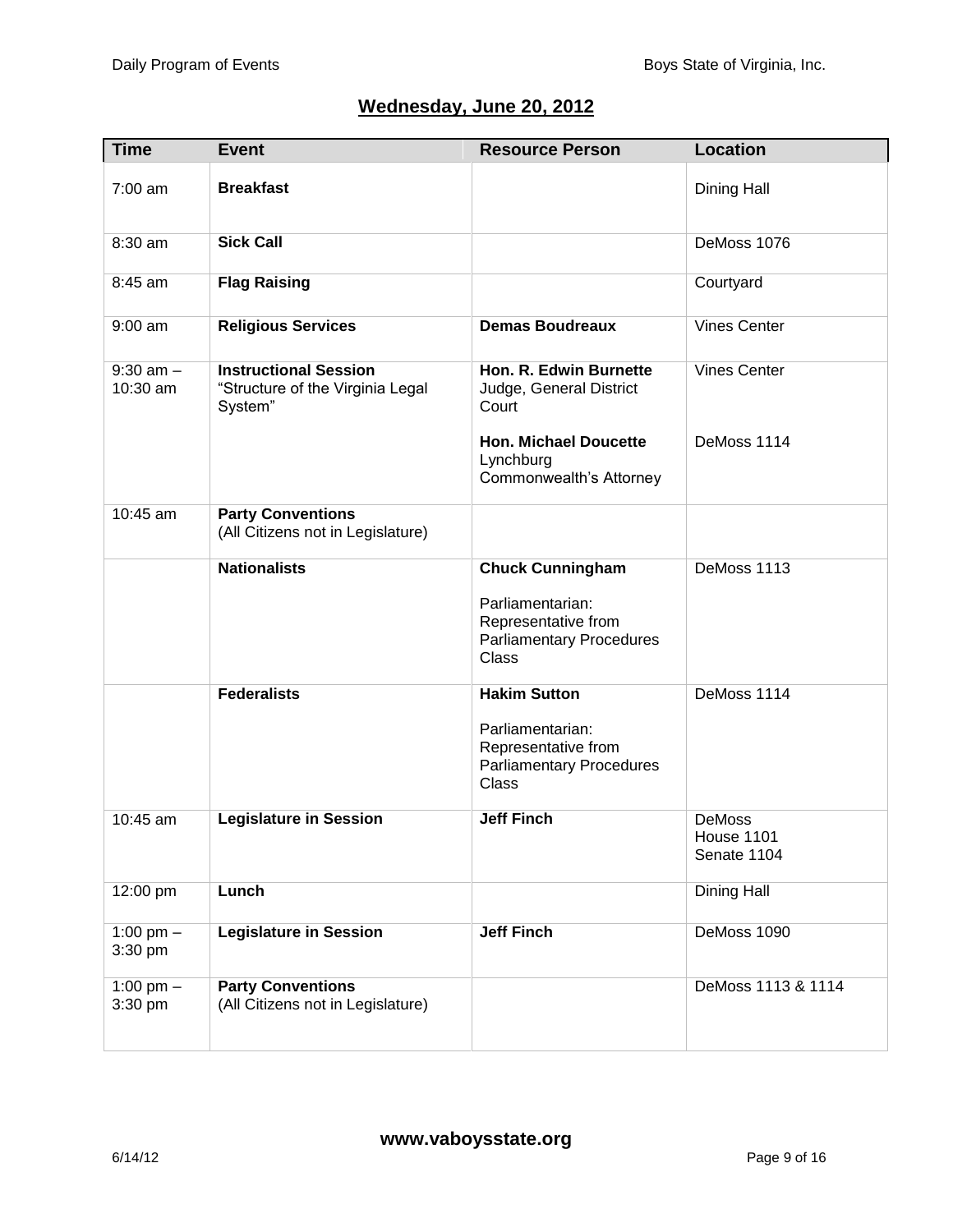## **Wednesday, June 20, 2012**

| <b>Time</b>               | <b>Event</b>                                                                | <b>Resource Person</b>                                                                                         | <b>Location</b>                     |
|---------------------------|-----------------------------------------------------------------------------|----------------------------------------------------------------------------------------------------------------|-------------------------------------|
| $7:00$ am                 | <b>Breakfast</b>                                                            |                                                                                                                | Dining Hall                         |
| 8:30 am                   | <b>Sick Call</b>                                                            |                                                                                                                | DeMoss 1076                         |
| 8:45 am                   | <b>Flag Raising</b>                                                         |                                                                                                                | Courtyard                           |
| $9:00$ am                 | <b>Religious Services</b>                                                   | <b>Demas Boudreaux</b>                                                                                         | <b>Vines Center</b>                 |
| $9:30$ am $-$<br>10:30 am | <b>Instructional Session</b><br>"Structure of the Virginia Legal<br>System" | Hon. R. Edwin Burnette<br>Judge, General District<br>Court                                                     | <b>Vines Center</b>                 |
|                           |                                                                             | <b>Hon. Michael Doucette</b><br>Lynchburg<br>Commonwealth's Attorney                                           | DeMoss 1114                         |
| 10:45 am                  | <b>Party Conventions</b><br>(All Citizens not in Legislature)               |                                                                                                                |                                     |
|                           | <b>Nationalists</b>                                                         | <b>Chuck Cunningham</b><br>Parliamentarian:<br>Representative from<br><b>Parliamentary Procedures</b><br>Class | DeMoss 1113                         |
|                           | <b>Federalists</b>                                                          | <b>Hakim Sutton</b><br>Parliamentarian:<br>Representative from<br><b>Parliamentary Procedures</b><br>Class     | DeMoss 1114                         |
| 10:45 am                  | <b>Legislature in Session</b>                                               | <b>Jeff Finch</b>                                                                                              | DeMoss<br>House 1101<br>Senate 1104 |
| 12:00 pm                  | Lunch                                                                       |                                                                                                                | Dining Hall                         |
| 1:00 pm $-$<br>3:30 pm    | <b>Legislature in Session</b>                                               | <b>Jeff Finch</b>                                                                                              | DeMoss 1090                         |
| 1:00 pm $-$<br>3:30 pm    | <b>Party Conventions</b><br>(All Citizens not in Legislature)               |                                                                                                                | DeMoss 1113 & 1114                  |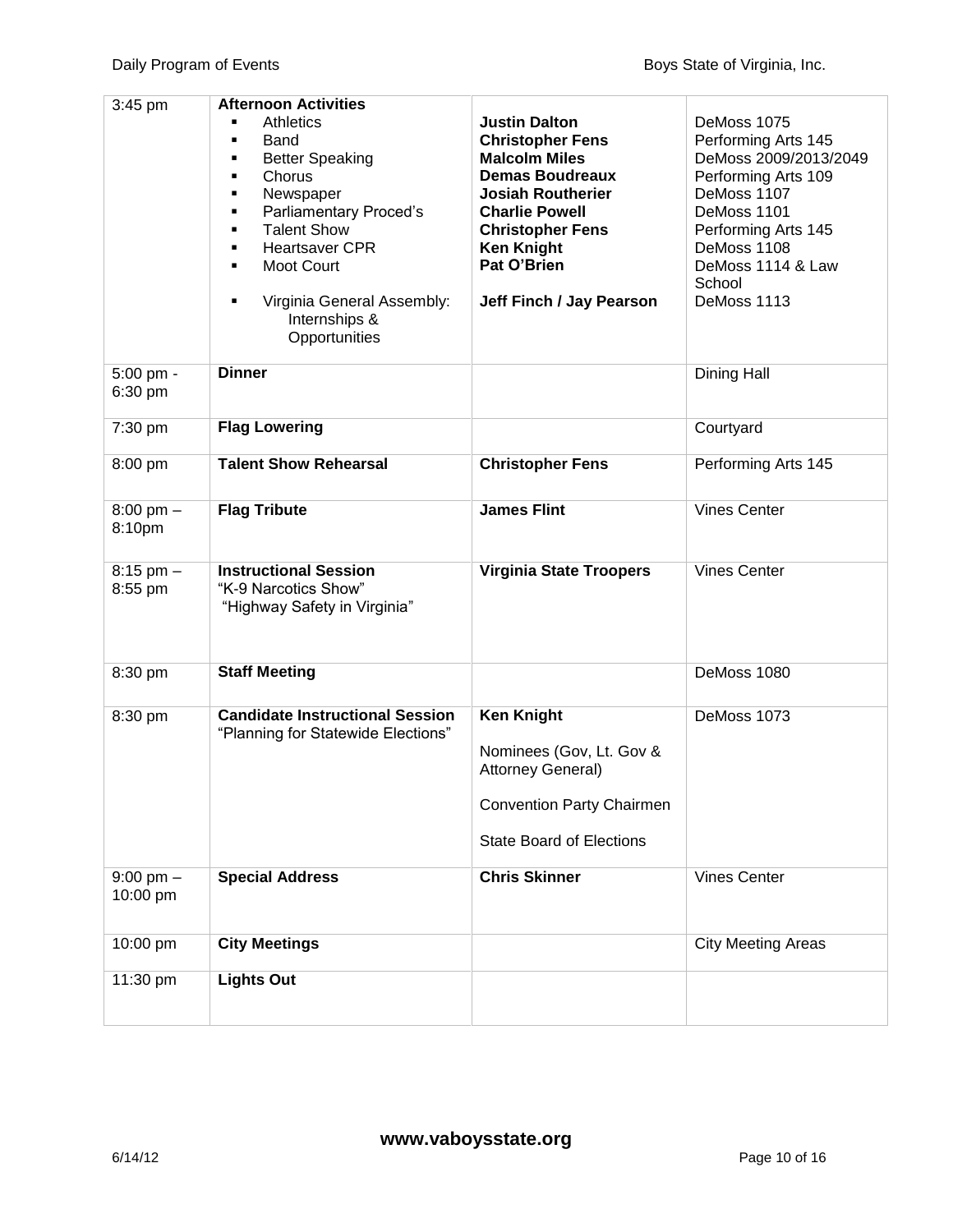| $3:45$ pm                     | <b>Afternoon Activities</b><br><b>Athletics</b><br>Band<br>٠<br><b>Better Speaking</b><br>Chorus<br>٠<br>Newspaper<br>٠<br>Parliamentary Proced's<br>٠<br><b>Talent Show</b><br>٠<br><b>Heartsaver CPR</b><br>٠<br><b>Moot Court</b><br>٠<br>Virginia General Assembly:<br>٠<br>Internships &<br>Opportunities | <b>Justin Dalton</b><br><b>Christopher Fens</b><br><b>Malcolm Miles</b><br><b>Demas Boudreaux</b><br><b>Josiah Routherier</b><br><b>Charlie Powell</b><br><b>Christopher Fens</b><br><b>Ken Knight</b><br>Pat O'Brien<br>Jeff Finch / Jay Pearson | DeMoss 1075<br>Performing Arts 145<br>DeMoss 2009/2013/2049<br>Performing Arts 109<br>DeMoss 1107<br>DeMoss 1101<br>Performing Arts 145<br>DeMoss 1108<br>DeMoss 1114 & Law<br>School<br>DeMoss 1113 |
|-------------------------------|----------------------------------------------------------------------------------------------------------------------------------------------------------------------------------------------------------------------------------------------------------------------------------------------------------------|---------------------------------------------------------------------------------------------------------------------------------------------------------------------------------------------------------------------------------------------------|------------------------------------------------------------------------------------------------------------------------------------------------------------------------------------------------------|
| 5:00 pm -<br>6:30 pm          | <b>Dinner</b>                                                                                                                                                                                                                                                                                                  |                                                                                                                                                                                                                                                   | Dining Hall                                                                                                                                                                                          |
| 7:30 pm                       | <b>Flag Lowering</b>                                                                                                                                                                                                                                                                                           |                                                                                                                                                                                                                                                   | Courtyard                                                                                                                                                                                            |
| 8:00 pm                       | <b>Talent Show Rehearsal</b>                                                                                                                                                                                                                                                                                   | <b>Christopher Fens</b>                                                                                                                                                                                                                           | Performing Arts 145                                                                                                                                                                                  |
| $8:00 \text{ pm} -$<br>8:10pm | <b>Flag Tribute</b>                                                                                                                                                                                                                                                                                            | <b>James Flint</b>                                                                                                                                                                                                                                | <b>Vines Center</b>                                                                                                                                                                                  |
| $8:15$ pm $-$<br>8:55 pm      | <b>Instructional Session</b><br>"K-9 Narcotics Show"<br>"Highway Safety in Virginia"                                                                                                                                                                                                                           | <b>Virginia State Troopers</b>                                                                                                                                                                                                                    | <b>Vines Center</b>                                                                                                                                                                                  |
| 8:30 pm                       | <b>Staff Meeting</b>                                                                                                                                                                                                                                                                                           |                                                                                                                                                                                                                                                   | DeMoss 1080                                                                                                                                                                                          |
| 8:30 pm                       | <b>Candidate Instructional Session</b><br>"Planning for Statewide Elections"                                                                                                                                                                                                                                   | <b>Ken Knight</b><br>Nominees (Gov, Lt. Gov &<br>Attorney General)<br><b>Convention Party Chairmen</b><br><b>State Board of Elections</b>                                                                                                         | DeMoss 1073                                                                                                                                                                                          |
| $9:00$ pm $-$<br>10:00 pm     | <b>Special Address</b>                                                                                                                                                                                                                                                                                         | <b>Chris Skinner</b>                                                                                                                                                                                                                              | <b>Vines Center</b>                                                                                                                                                                                  |
| 10:00 pm                      | <b>City Meetings</b>                                                                                                                                                                                                                                                                                           |                                                                                                                                                                                                                                                   | <b>City Meeting Areas</b>                                                                                                                                                                            |
| 11:30 pm                      | <b>Lights Out</b>                                                                                                                                                                                                                                                                                              |                                                                                                                                                                                                                                                   |                                                                                                                                                                                                      |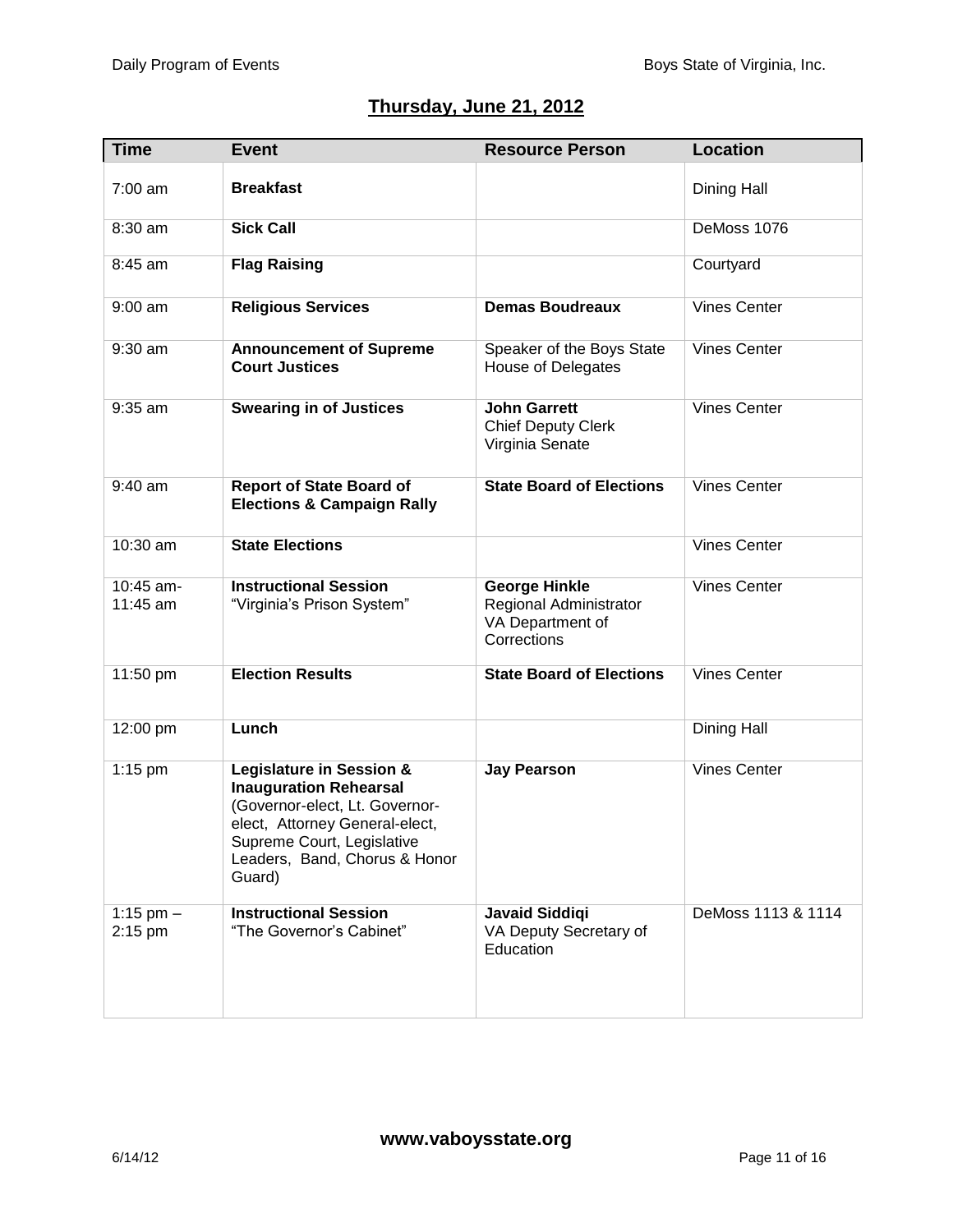## **Thursday, June 21, 2012**

| <b>Time</b>            | <b>Event</b>                                                                                                                                                                                           | <b>Resource Person</b>                                                            | <b>Location</b>     |
|------------------------|--------------------------------------------------------------------------------------------------------------------------------------------------------------------------------------------------------|-----------------------------------------------------------------------------------|---------------------|
| $7:00$ am              | <b>Breakfast</b>                                                                                                                                                                                       |                                                                                   | Dining Hall         |
| 8:30 am                | <b>Sick Call</b>                                                                                                                                                                                       |                                                                                   | DeMoss 1076         |
| 8:45 am                | <b>Flag Raising</b>                                                                                                                                                                                    |                                                                                   | Courtyard           |
| $9:00$ am              | <b>Religious Services</b>                                                                                                                                                                              | <b>Demas Boudreaux</b>                                                            | <b>Vines Center</b> |
| $9:30$ am              | <b>Announcement of Supreme</b><br><b>Court Justices</b>                                                                                                                                                | Speaker of the Boys State<br>House of Delegates                                   | <b>Vines Center</b> |
| 9:35 am                | <b>Swearing in of Justices</b>                                                                                                                                                                         | <b>John Garrett</b><br><b>Chief Deputy Clerk</b><br>Virginia Senate               | <b>Vines Center</b> |
| 9:40 am                | <b>Report of State Board of</b><br><b>Elections &amp; Campaign Rally</b>                                                                                                                               | <b>State Board of Elections</b>                                                   | <b>Vines Center</b> |
| 10:30 am               | <b>State Elections</b>                                                                                                                                                                                 |                                                                                   | <b>Vines Center</b> |
| 10:45 am-<br>11:45 am  | <b>Instructional Session</b><br>"Virginia's Prison System"                                                                                                                                             | <b>George Hinkle</b><br>Regional Administrator<br>VA Department of<br>Corrections | <b>Vines Center</b> |
| 11:50 pm               | <b>Election Results</b>                                                                                                                                                                                | <b>State Board of Elections</b>                                                   | <b>Vines Center</b> |
| 12:00 pm               | Lunch                                                                                                                                                                                                  |                                                                                   | Dining Hall         |
| $1:15$ pm              | Legislature in Session &<br><b>Inauguration Rehearsal</b><br>(Governor-elect, Lt. Governor-<br>elect, Attorney General-elect,<br>Supreme Court, Legislative<br>Leaders, Band, Chorus & Honor<br>Guard) | <b>Jay Pearson</b>                                                                | <b>Vines Center</b> |
| 1:15 pm $-$<br>2:15 pm | <b>Instructional Session</b><br>"The Governor's Cabinet"                                                                                                                                               | <b>Javaid Siddiqi</b><br>VA Deputy Secretary of<br>Education                      | DeMoss 1113 & 1114  |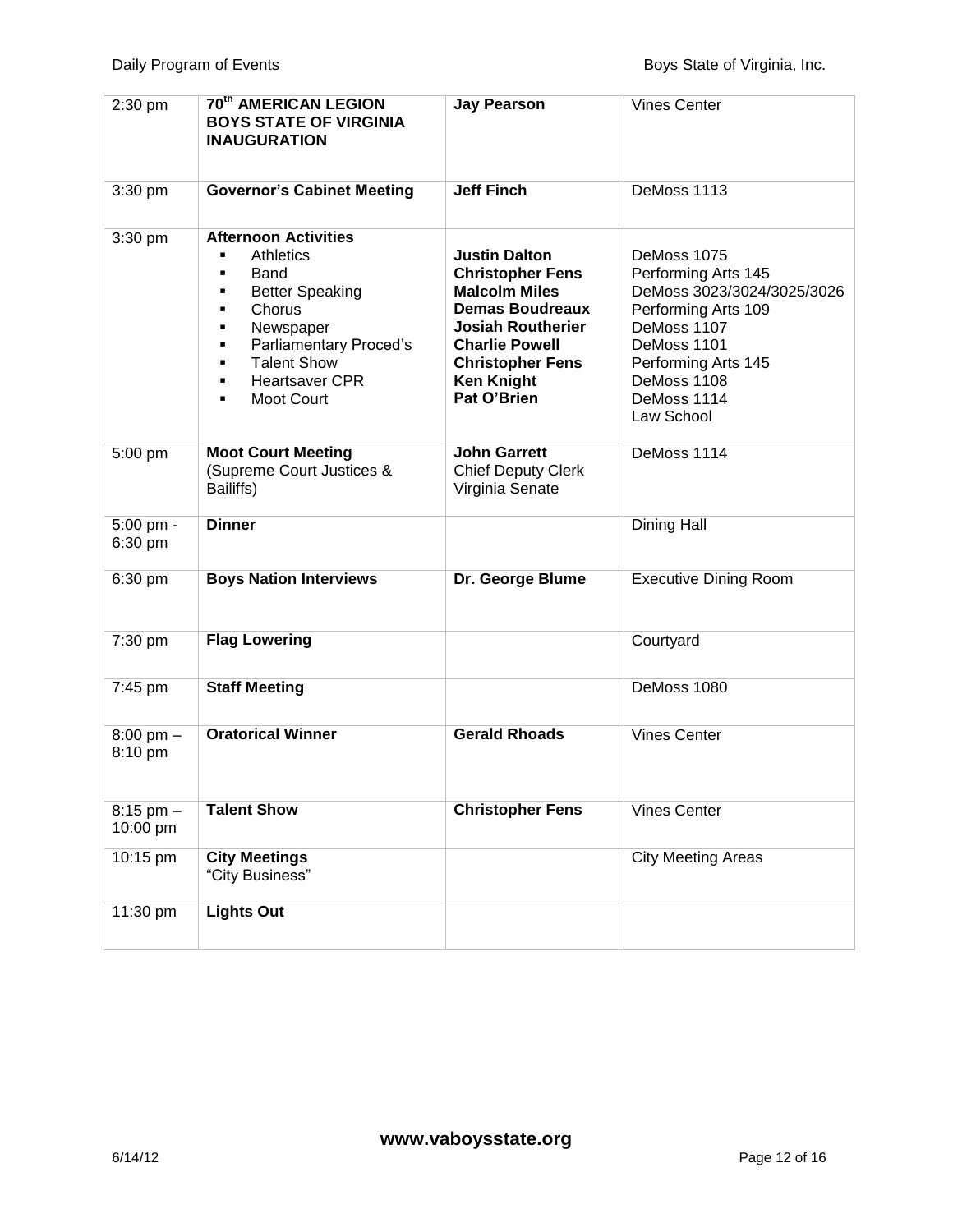| 2:30 pm                        | 70th AMERICAN LEGION<br><b>BOYS STATE OF VIRGINIA</b><br><b>INAUGURATION</b>                                                                                                                                                                   | <b>Jay Pearson</b>                                                                                                                                                                                                    | <b>Vines Center</b>                                                                                                                                                                      |
|--------------------------------|------------------------------------------------------------------------------------------------------------------------------------------------------------------------------------------------------------------------------------------------|-----------------------------------------------------------------------------------------------------------------------------------------------------------------------------------------------------------------------|------------------------------------------------------------------------------------------------------------------------------------------------------------------------------------------|
| 3:30 pm                        | <b>Governor's Cabinet Meeting</b>                                                                                                                                                                                                              | <b>Jeff Finch</b>                                                                                                                                                                                                     | DeMoss 1113                                                                                                                                                                              |
| 3:30 pm                        | <b>Afternoon Activities</b><br><b>Athletics</b><br>Band<br>٠<br><b>Better Speaking</b><br>٠<br>Chorus<br>٠<br>Newspaper<br>٠<br>Parliamentary Proced's<br>٠<br><b>Talent Show</b><br>٠<br><b>Heartsaver CPR</b><br>٠<br><b>Moot Court</b><br>٠ | <b>Justin Dalton</b><br><b>Christopher Fens</b><br><b>Malcolm Miles</b><br><b>Demas Boudreaux</b><br><b>Josiah Routherier</b><br><b>Charlie Powell</b><br><b>Christopher Fens</b><br><b>Ken Knight</b><br>Pat O'Brien | DeMoss 1075<br>Performing Arts 145<br>DeMoss 3023/3024/3025/3026<br>Performing Arts 109<br>DeMoss 1107<br>DeMoss 1101<br>Performing Arts 145<br>DeMoss 1108<br>DeMoss 1114<br>Law School |
| 5:00 pm                        | <b>Moot Court Meeting</b><br>(Supreme Court Justices &<br>Bailiffs)                                                                                                                                                                            | <b>John Garrett</b><br><b>Chief Deputy Clerk</b><br>Virginia Senate                                                                                                                                                   | DeMoss 1114                                                                                                                                                                              |
| 5:00 pm -<br>6:30 pm           | <b>Dinner</b>                                                                                                                                                                                                                                  |                                                                                                                                                                                                                       | Dining Hall                                                                                                                                                                              |
| 6:30 pm                        | <b>Boys Nation Interviews</b>                                                                                                                                                                                                                  | Dr. George Blume                                                                                                                                                                                                      | <b>Executive Dining Room</b>                                                                                                                                                             |
| 7:30 pm                        | <b>Flag Lowering</b>                                                                                                                                                                                                                           |                                                                                                                                                                                                                       | Courtyard                                                                                                                                                                                |
| 7:45 pm                        | <b>Staff Meeting</b>                                                                                                                                                                                                                           |                                                                                                                                                                                                                       | DeMoss 1080                                                                                                                                                                              |
| $8:00 \text{ pm} -$<br>8:10 pm | <b>Oratorical Winner</b>                                                                                                                                                                                                                       | <b>Gerald Rhoads</b>                                                                                                                                                                                                  | <b>Vines Center</b>                                                                                                                                                                      |
| $8:15$ pm $-$<br>10:00 pm      | <b>Talent Show</b>                                                                                                                                                                                                                             | <b>Christopher Fens</b>                                                                                                                                                                                               | <b>Vines Center</b>                                                                                                                                                                      |
| 10:15 pm                       | <b>City Meetings</b><br>"City Business"                                                                                                                                                                                                        |                                                                                                                                                                                                                       | <b>City Meeting Areas</b>                                                                                                                                                                |
| 11:30 pm                       | <b>Lights Out</b>                                                                                                                                                                                                                              |                                                                                                                                                                                                                       |                                                                                                                                                                                          |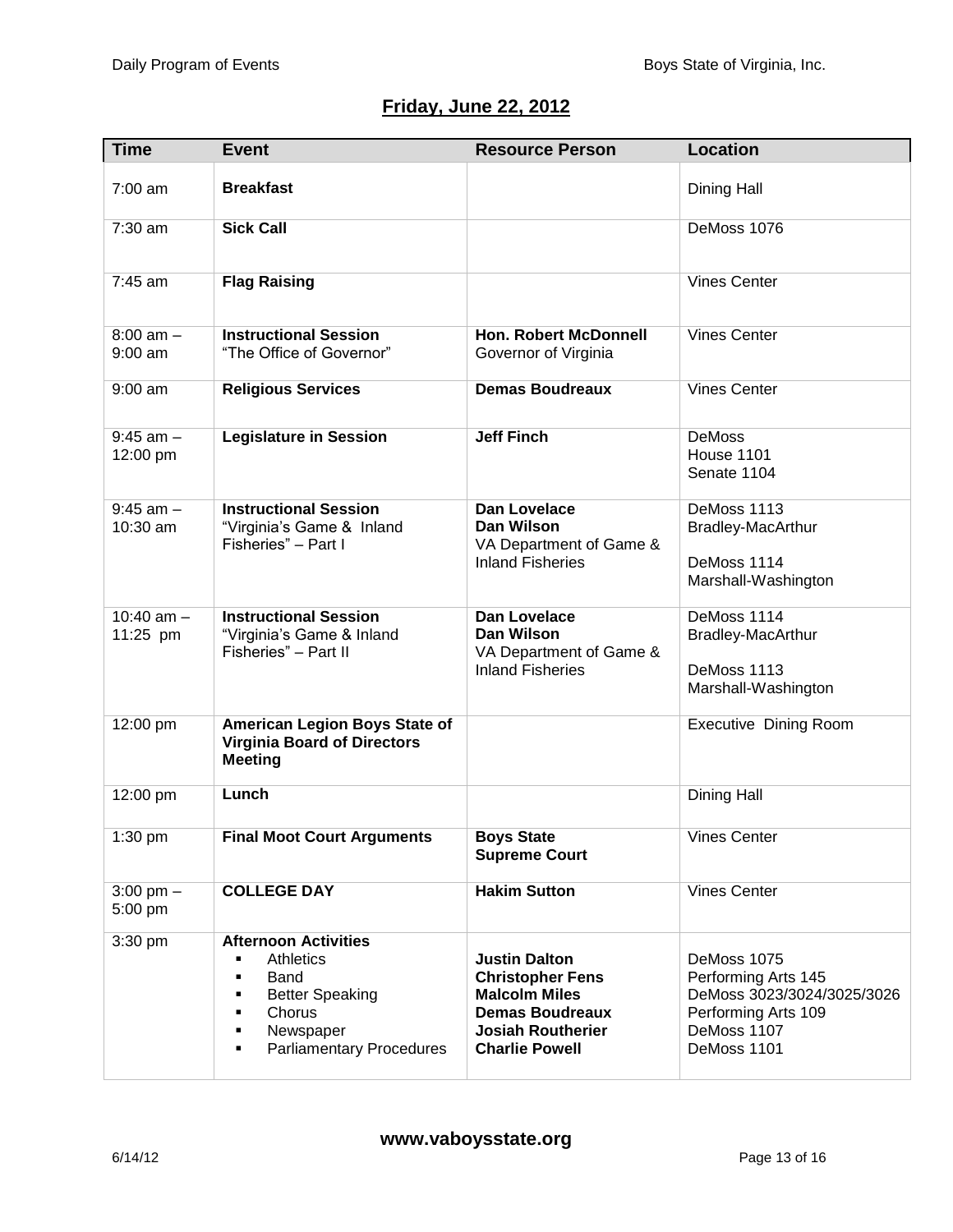# **Friday, June 22, 2012**

| <b>Time</b>                | <b>Event</b>                                                                                                                                                                | <b>Resource Person</b>                                                                                                                                 | <b>Location</b>                                                                                                       |
|----------------------------|-----------------------------------------------------------------------------------------------------------------------------------------------------------------------------|--------------------------------------------------------------------------------------------------------------------------------------------------------|-----------------------------------------------------------------------------------------------------------------------|
| 7:00 am                    | <b>Breakfast</b>                                                                                                                                                            |                                                                                                                                                        | Dining Hall                                                                                                           |
| 7:30 am                    | <b>Sick Call</b>                                                                                                                                                            |                                                                                                                                                        | DeMoss 1076                                                                                                           |
| 7:45 am                    | <b>Flag Raising</b>                                                                                                                                                         |                                                                                                                                                        | <b>Vines Center</b>                                                                                                   |
| $8:00$ am $-$<br>$9:00$ am | <b>Instructional Session</b><br>"The Office of Governor"                                                                                                                    | <b>Hon. Robert McDonnell</b><br>Governor of Virginia                                                                                                   | <b>Vines Center</b>                                                                                                   |
| $9:00$ am                  | <b>Religious Services</b>                                                                                                                                                   | <b>Demas Boudreaux</b>                                                                                                                                 | <b>Vines Center</b>                                                                                                   |
| $9:45$ am $-$<br>12:00 pm  | <b>Legislature in Session</b>                                                                                                                                               | <b>Jeff Finch</b>                                                                                                                                      | <b>DeMoss</b><br>House 1101<br>Senate 1104                                                                            |
| $9:45$ am $-$<br>10:30 am  | <b>Instructional Session</b><br>"Virginia's Game & Inland<br>Fisheries" - Part I                                                                                            | Dan Lovelace<br><b>Dan Wilson</b><br>VA Department of Game &<br><b>Inland Fisheries</b>                                                                | DeMoss 1113<br><b>Bradley-MacArthur</b><br>DeMoss 1114<br>Marshall-Washington                                         |
| 10:40 $am -$<br>11:25 pm   | <b>Instructional Session</b><br>"Virginia's Game & Inland<br>Fisheries" - Part II                                                                                           | <b>Dan Lovelace</b><br><b>Dan Wilson</b><br>VA Department of Game &<br><b>Inland Fisheries</b>                                                         | DeMoss 1114<br><b>Bradley-MacArthur</b><br>DeMoss 1113<br>Marshall-Washington                                         |
| 12:00 pm                   | <b>American Legion Boys State of</b><br><b>Virginia Board of Directors</b><br><b>Meeting</b>                                                                                |                                                                                                                                                        | Executive Dining Room                                                                                                 |
| 12:00 pm                   | Lunch                                                                                                                                                                       |                                                                                                                                                        | Dining Hall                                                                                                           |
| 1:30 pm                    | <b>Final Moot Court Arguments</b>                                                                                                                                           | <b>Boys State</b><br><b>Supreme Court</b>                                                                                                              | Vines Center                                                                                                          |
| $3:00$ pm $-$<br>5:00 pm   | <b>COLLEGE DAY</b>                                                                                                                                                          | <b>Hakim Sutton</b>                                                                                                                                    | <b>Vines Center</b>                                                                                                   |
| $3:30$ pm                  | <b>Afternoon Activities</b><br><b>Athletics</b><br><b>Band</b><br>٠<br><b>Better Speaking</b><br>٠<br>Chorus<br>٠<br>Newspaper<br>٠<br><b>Parliamentary Procedures</b><br>٠ | <b>Justin Dalton</b><br><b>Christopher Fens</b><br><b>Malcolm Miles</b><br><b>Demas Boudreaux</b><br><b>Josiah Routherier</b><br><b>Charlie Powell</b> | DeMoss 1075<br>Performing Arts 145<br>DeMoss 3023/3024/3025/3026<br>Performing Arts 109<br>DeMoss 1107<br>DeMoss 1101 |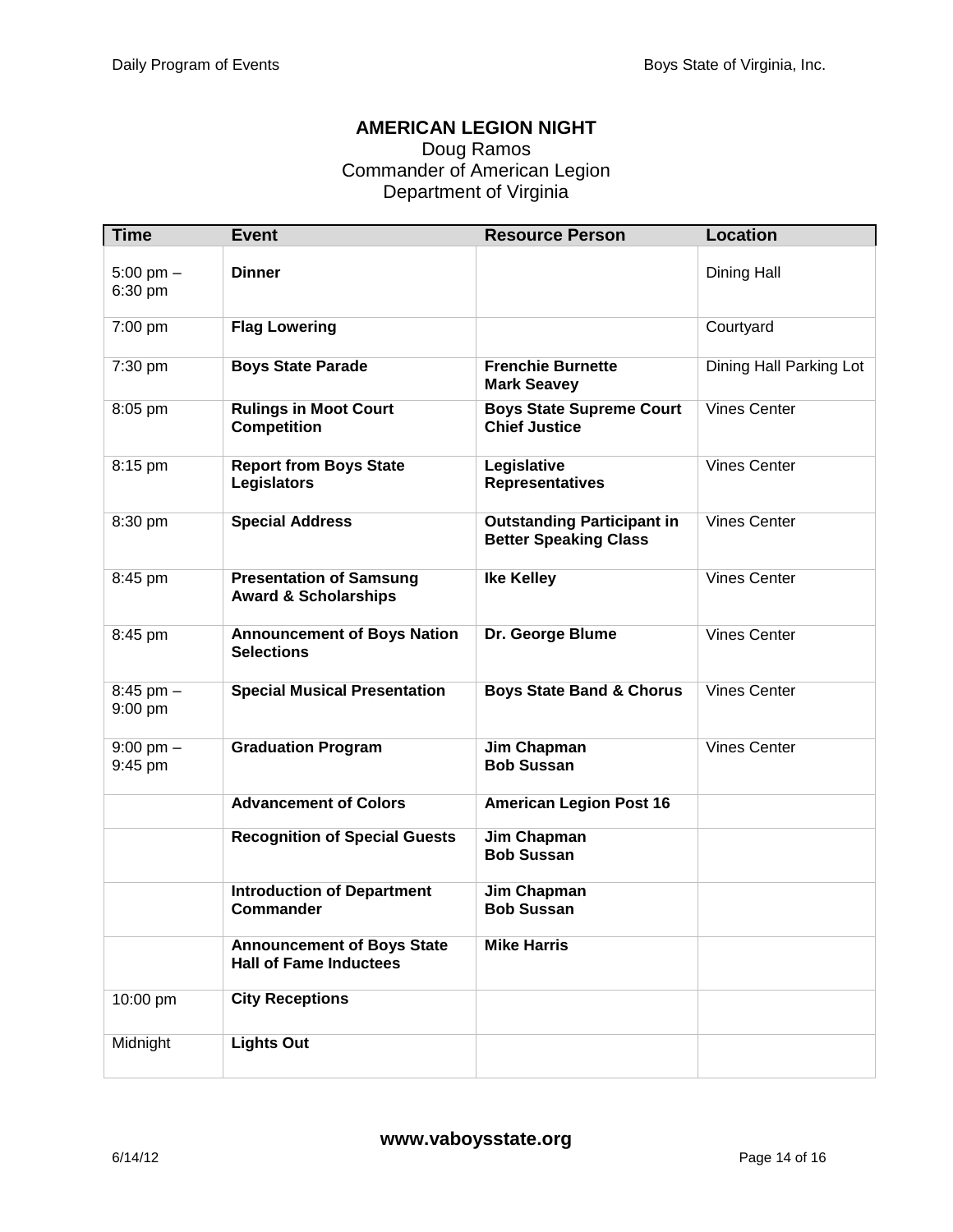#### **AMERICAN LEGION NIGHT**

#### Doug Ramos Commander of American Legion Department of Virginia

| <b>Time</b>                    | <b>Event</b>                                                       | <b>Resource Person</b>                                            | <b>Location</b>         |
|--------------------------------|--------------------------------------------------------------------|-------------------------------------------------------------------|-------------------------|
| $5:00 \text{ pm} -$<br>6:30 pm | <b>Dinner</b>                                                      |                                                                   | Dining Hall             |
| 7:00 pm                        | <b>Flag Lowering</b>                                               |                                                                   | Courtyard               |
| 7:30 pm                        | <b>Boys State Parade</b>                                           | <b>Frenchie Burnette</b><br><b>Mark Seavey</b>                    | Dining Hall Parking Lot |
| 8:05 pm                        | <b>Rulings in Moot Court</b><br><b>Competition</b>                 | <b>Boys State Supreme Court</b><br><b>Chief Justice</b>           | <b>Vines Center</b>     |
| 8:15 pm                        | <b>Report from Boys State</b><br><b>Legislators</b>                | Legislative<br><b>Representatives</b>                             | <b>Vines Center</b>     |
| 8:30 pm                        | <b>Special Address</b>                                             | <b>Outstanding Participant in</b><br><b>Better Speaking Class</b> | <b>Vines Center</b>     |
| 8:45 pm                        | <b>Presentation of Samsung</b><br><b>Award &amp; Scholarships</b>  | <b>Ike Kelley</b>                                                 | <b>Vines Center</b>     |
| 8:45 pm                        | <b>Announcement of Boys Nation</b><br><b>Selections</b>            | Dr. George Blume                                                  | <b>Vines Center</b>     |
| $8:45$ pm $-$<br>$9:00$ pm     | <b>Special Musical Presentation</b>                                | <b>Boys State Band &amp; Chorus</b>                               | <b>Vines Center</b>     |
| $9:00 \text{ pm} -$<br>9:45 pm | <b>Graduation Program</b>                                          | Jim Chapman<br><b>Bob Sussan</b>                                  | <b>Vines Center</b>     |
|                                | <b>Advancement of Colors</b>                                       | <b>American Legion Post 16</b>                                    |                         |
|                                | <b>Recognition of Special Guests</b>                               | Jim Chapman<br><b>Bob Sussan</b>                                  |                         |
|                                | <b>Introduction of Department</b><br>Commander                     | <b>Jim Chapman</b><br><b>Bob Sussan</b>                           |                         |
|                                | <b>Announcement of Boys State</b><br><b>Hall of Fame Inductees</b> | <b>Mike Harris</b>                                                |                         |
| 10:00 pm                       | <b>City Receptions</b>                                             |                                                                   |                         |
| Midnight                       | <b>Lights Out</b>                                                  |                                                                   |                         |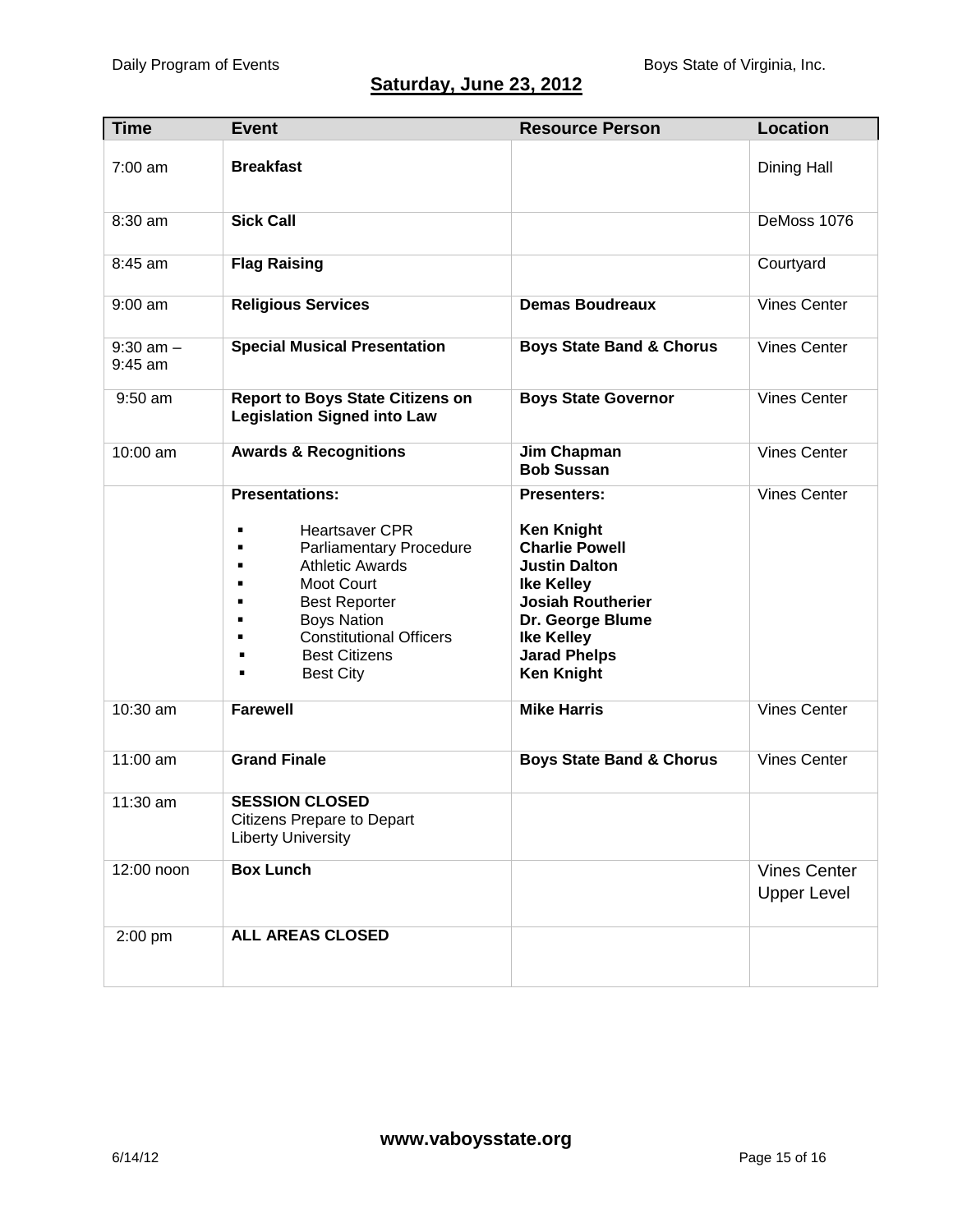## **Saturday, June 23, 2012**

| <b>Time</b>                | <b>Event</b>                                                                                                                                                                                                                                                          | <b>Resource Person</b>                                                                                                                                                                                                         | <b>Location</b>                           |
|----------------------------|-----------------------------------------------------------------------------------------------------------------------------------------------------------------------------------------------------------------------------------------------------------------------|--------------------------------------------------------------------------------------------------------------------------------------------------------------------------------------------------------------------------------|-------------------------------------------|
| $7:00$ am                  | <b>Breakfast</b>                                                                                                                                                                                                                                                      |                                                                                                                                                                                                                                | Dining Hall                               |
| $8:30$ am                  | <b>Sick Call</b>                                                                                                                                                                                                                                                      |                                                                                                                                                                                                                                | DeMoss 1076                               |
| 8:45 am                    | <b>Flag Raising</b>                                                                                                                                                                                                                                                   |                                                                                                                                                                                                                                | Courtyard                                 |
| $9:00$ am                  | <b>Religious Services</b>                                                                                                                                                                                                                                             | <b>Demas Boudreaux</b>                                                                                                                                                                                                         | <b>Vines Center</b>                       |
| $9:30$ am $-$<br>$9:45$ am | <b>Special Musical Presentation</b>                                                                                                                                                                                                                                   | <b>Boys State Band &amp; Chorus</b>                                                                                                                                                                                            | <b>Vines Center</b>                       |
| $9:50$ am                  | <b>Report to Boys State Citizens on</b><br><b>Legislation Signed into Law</b>                                                                                                                                                                                         | <b>Boys State Governor</b>                                                                                                                                                                                                     | <b>Vines Center</b>                       |
| 10:00 am                   | <b>Awards &amp; Recognitions</b>                                                                                                                                                                                                                                      | Jim Chapman<br><b>Bob Sussan</b>                                                                                                                                                                                               | <b>Vines Center</b>                       |
|                            | <b>Presentations:</b><br><b>Heartsaver CPR</b><br><b>Parliamentary Procedure</b><br><b>Athletic Awards</b><br><b>Moot Court</b><br><b>Best Reporter</b><br><b>Boys Nation</b><br><b>Constitutional Officers</b><br><b>Best Citizens</b><br>٠<br><b>Best City</b><br>٠ | <b>Presenters:</b><br><b>Ken Knight</b><br><b>Charlie Powell</b><br><b>Justin Dalton</b><br><b>Ike Kelley</b><br><b>Josiah Routherier</b><br>Dr. George Blume<br><b>Ike Kelley</b><br><b>Jarad Phelps</b><br><b>Ken Knight</b> | <b>Vines Center</b>                       |
| 10:30 am                   | <b>Farewell</b>                                                                                                                                                                                                                                                       | <b>Mike Harris</b>                                                                                                                                                                                                             | <b>Vines Center</b>                       |
| 11:00 am                   | <b>Grand Finale</b>                                                                                                                                                                                                                                                   | <b>Boys State Band &amp; Chorus</b>                                                                                                                                                                                            | <b>Vines Center</b>                       |
| 11:30 am                   | <b>SESSION CLOSED</b><br>Citizens Prepare to Depart<br><b>Liberty University</b>                                                                                                                                                                                      |                                                                                                                                                                                                                                |                                           |
| 12:00 noon                 | <b>Box Lunch</b>                                                                                                                                                                                                                                                      |                                                                                                                                                                                                                                | <b>Vines Center</b><br><b>Upper Level</b> |
| 2:00 pm                    | ALL AREAS CLOSED                                                                                                                                                                                                                                                      |                                                                                                                                                                                                                                |                                           |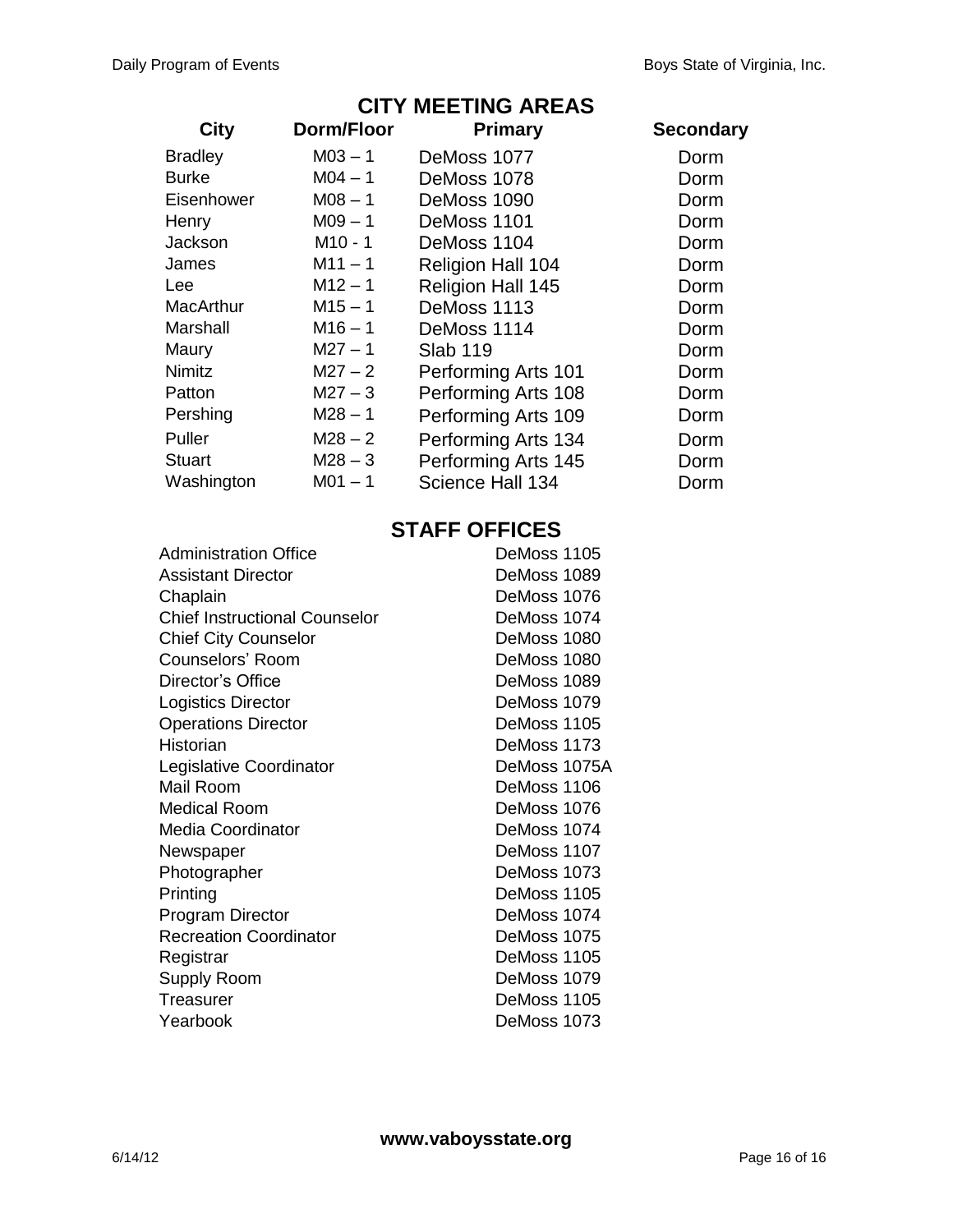## **CITY MEETING AREAS**

| <b>City</b>    | Dorm/Floor          | <b>Primary</b>           | <b>Secondary</b> |
|----------------|---------------------|--------------------------|------------------|
| <b>Bradley</b> | $M03 - 1$           | DeMoss 1077              | Dorm             |
| <b>Burke</b>   | $M04 - 1$           | DeMoss 1078              | Dorm             |
| Eisenhower     | $M08 - 1$           | DeMoss 1090              | Dorm             |
| Henry          | $M09 - 1$           | DeMoss 1101              | Dorm             |
| Jackson        | M <sub>10</sub> - 1 | DeMoss 1104              | Dorm             |
| James          | $M11 - 1$           | <b>Religion Hall 104</b> | Dorm             |
| Lee            | $M12 - 1$           | Religion Hall 145        | Dorm             |
| MacArthur      | $M15 - 1$           | DeMoss 1113              | Dorm             |
| Marshall       | $M16 - 1$           | DeMoss 1114              | Dorm             |
| Maury          | $M27 - 1$           | Slab 119                 | Dorm             |
| <b>Nimitz</b>  | $M27 - 2$           | Performing Arts 101      | Dorm             |
| Patton         | $M27 - 3$           | Performing Arts 108      | Dorm             |
| Pershing       | $M28 - 1$           | Performing Arts 109      | Dorm             |
| Puller         | $M28 - 2$           | Performing Arts 134      | Dorm             |
| <b>Stuart</b>  | $M28 - 3$           | Performing Arts 145      | Dorm             |
| Washington     | $M01 - 1$           | Science Hall 134         | Dorm             |

## **STAFF OFFICES**

| Administration Office                | DeMoss 1105  |
|--------------------------------------|--------------|
| Assistant Director                   | DeMoss 1089  |
| Chaplain                             | DeMoss 1076  |
| <b>Chief Instructional Counselor</b> | DeMoss 1074  |
| <b>Chief City Counselor</b>          | DeMoss 1080  |
| Counselors' Room                     | DeMoss 1080  |
| Director's Office                    | DeMoss 1089  |
| <b>Logistics Director</b>            | DeMoss 1079  |
| <b>Operations Director</b>           | DeMoss 1105  |
| Historian                            | DeMoss 1173  |
| Legislative Coordinator              | DeMoss 1075A |
| Mail Room                            | DeMoss 1106  |
| <b>Medical Room</b>                  | DeMoss 1076  |
| <b>Media Coordinator</b>             | DeMoss 1074  |
| Newspaper                            | DeMoss 1107  |
| Photographer                         | DeMoss 1073  |
| Printing                             | DeMoss 1105  |
| Program Director                     | DeMoss 1074  |
| <b>Recreation Coordinator</b>        | DeMoss 1075  |
| Registrar                            | DeMoss 1105  |
| <b>Supply Room</b>                   | DeMoss 1079  |
| Treasurer                            | DeMoss 1105  |
| Yearbook                             | DeMoss 1073  |
|                                      |              |